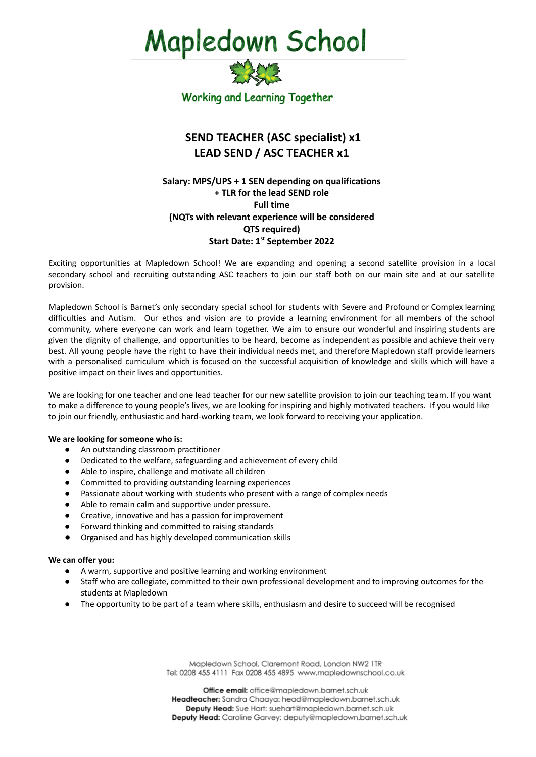# **Mapledown School**



## **SEND TEACHER (ASC specialist) x1 LEAD SEND / ASC TEACHER x1**

## **Salary: MPS/UPS + 1 SEN depending on qualifications + TLR for the lead SEND role Full time (NQTs with relevant experience will be considered QTS required) Start Date: 1 st September 2022**

Exciting opportunities at Mapledown School! We are expanding and opening a second satellite provision in a local secondary school and recruiting outstanding ASC teachers to join our staff both on our main site and at our satellite provision.

Mapledown School is Barnet's only secondary special school for students with Severe and Profound or Complex learning difficulties and Autism. Our ethos and vision are to provide a learning environment for all members of the school community, where everyone can work and learn together. We aim to ensure our wonderful and inspiring students are given the dignity of challenge, and opportunities to be heard, become as independent as possible and achieve their very best. All young people have the right to have their individual needs met, and therefore Mapledown staff provide learners with a personalised curriculum which is focused on the successful acquisition of knowledge and skills which will have a positive impact on their lives and opportunities.

We are looking for one teacher and one lead teacher for our new satellite provision to join our teaching team. If you want to make a difference to young people's lives, we are looking for inspiring and highly motivated teachers. If you would like to join our friendly, enthusiastic and hard-working team, we look forward to receiving your application.

### **We are looking for someone who is:**

- An outstanding classroom practitioner
- Dedicated to the welfare, safeguarding and achievement of every child
- Able to inspire, challenge and motivate all children
- Committed to providing outstanding learning experiences
- Passionate about working with students who present with a range of complex needs
- Able to remain calm and supportive under pressure.
- Creative, innovative and has a passion for improvement
- Forward thinking and committed to raising standards
- Organised and has highly developed communication skills

#### **We can offer you:**

- A warm, supportive and positive learning and working environment
- Staff who are collegiate, committed to their own professional development and to improving outcomes for the students at Mapledown
- The opportunity to be part of a team where skills, enthusiasm and desire to succeed will be recognised

Mapledown School, Claremont Road, London NW2 1TR Tel: 0208 455 4111 Fax 0208 455 4895 www.mapledownschool.co.uk

Office email: office@mapledown.barnet.sch.uk Headteacher: Sandra Chaaya: head@mapledown.barnet.sch.uk Deputy Head: Sue Hart: suehart@mapledown.barnet.sch.uk Deputy Head: Caroline Garvey: deputy@mapledown.barnet.sch.uk